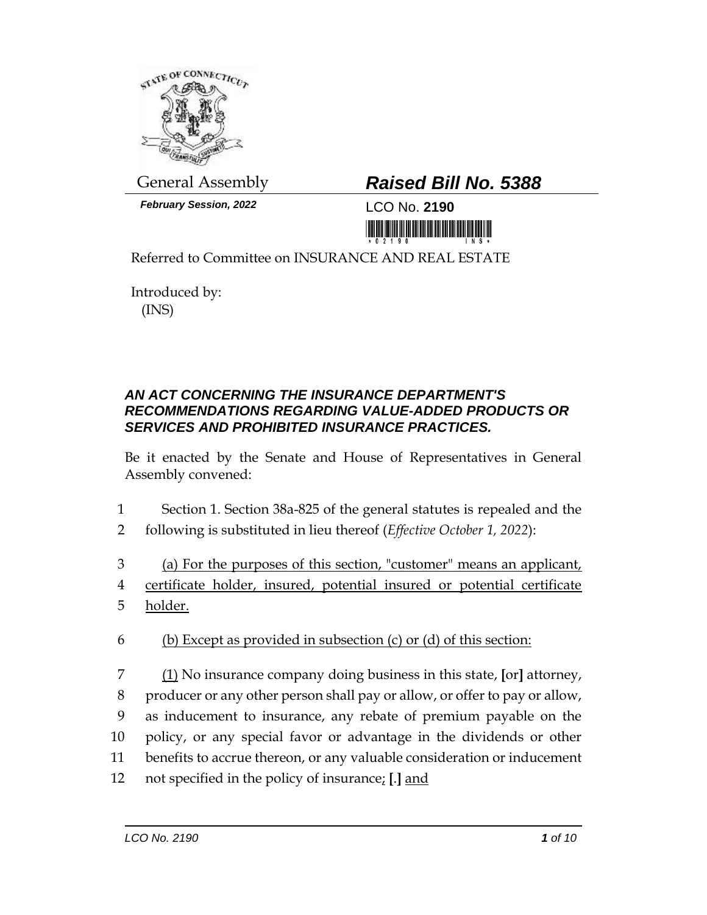

*February Session, 2022* LCO No. **2190**

## General Assembly *Raised Bill No. 5388*

<u>in kitin kitin manana iki k</u>

Referred to Committee on INSURANCE AND REAL ESTATE

Introduced by: (INS)

## *AN ACT CONCERNING THE INSURANCE DEPARTMENT'S RECOMMENDATIONS REGARDING VALUE-ADDED PRODUCTS OR SERVICES AND PROHIBITED INSURANCE PRACTICES.*

Be it enacted by the Senate and House of Representatives in General Assembly convened:

- 1 Section 1. Section 38a-825 of the general statutes is repealed and the
- 2 following is substituted in lieu thereof (*Effective October 1, 2022*):
- 3 (a) For the purposes of this section, "customer" means an applicant, 4 certificate holder, insured, potential insured or potential certificate 5 holder.
- 6 (b) Except as provided in subsection  $(c)$  or  $(d)$  of this section:
- 7 (1) No insurance company doing business in this state, **[**or**]** attorney, 8 producer or any other person shall pay or allow, or offer to pay or allow, 9 as inducement to insurance, any rebate of premium payable on the 10 policy, or any special favor or advantage in the dividends or other 11 benefits to accrue thereon, or any valuable consideration or inducement 12 not specified in the policy of insurance; **[**.**]** and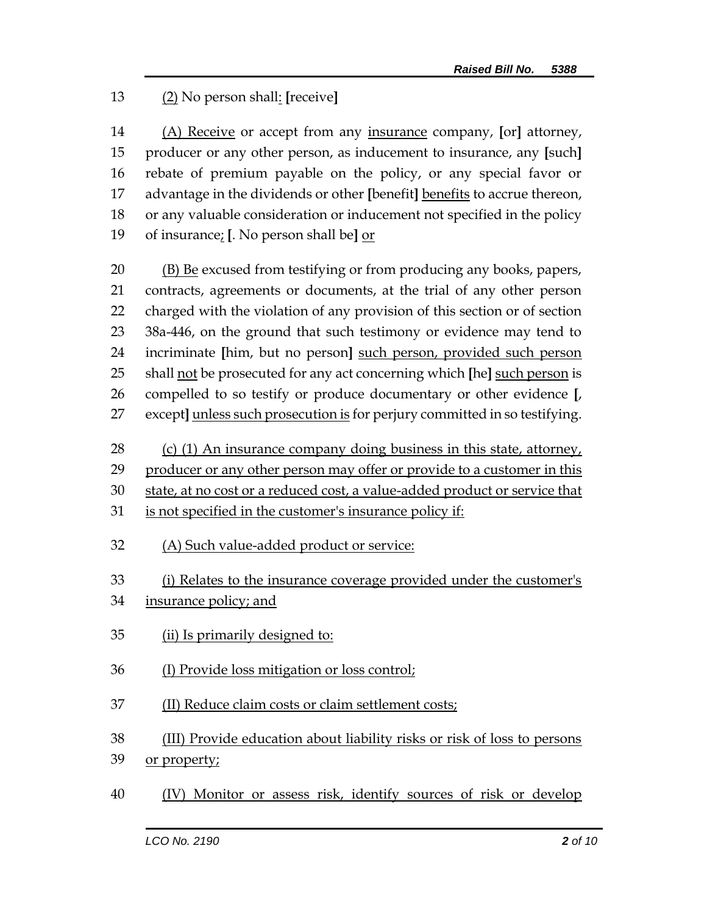## (2) No person shall: **[**receive**]**

 (A) Receive or accept from any insurance company, **[**or**]** attorney, producer or any other person, as inducement to insurance, any **[**such**]** rebate of premium payable on the policy, or any special favor or advantage in the dividends or other **[**benefit**]** benefits to accrue thereon, or any valuable consideration or inducement not specified in the policy of insurance; **[**. No person shall be**]** or

20 (B) Be excused from testifying or from producing any books, papers, contracts, agreements or documents, at the trial of any other person charged with the violation of any provision of this section or of section 38a-446, on the ground that such testimony or evidence may tend to incriminate **[**him, but no person**]** such person, provided such person shall not be prosecuted for any act concerning which **[**he**]** such person is compelled to so testify or produce documentary or other evidence **[**, except**]** unless such prosecution is for perjury committed in so testifying.

28 (c) (1) An insurance company doing business in this state, attorney,

29 producer or any other person may offer or provide to a customer in this

state, at no cost or a reduced cost, a value-added product or service that

- is not specified in the customer's insurance policy if:
- (A) Such value-added product or service:

(i) Relates to the insurance coverage provided under the customer's

- 34 insurance policy; and
- (ii) Is primarily designed to:
- (I) Provide loss mitigation or loss control;
- (II) Reduce claim costs or claim settlement costs;
- (III) Provide education about liability risks or risk of loss to persons
- 39 or property;
- (IV) Monitor or assess risk, identify sources of risk or develop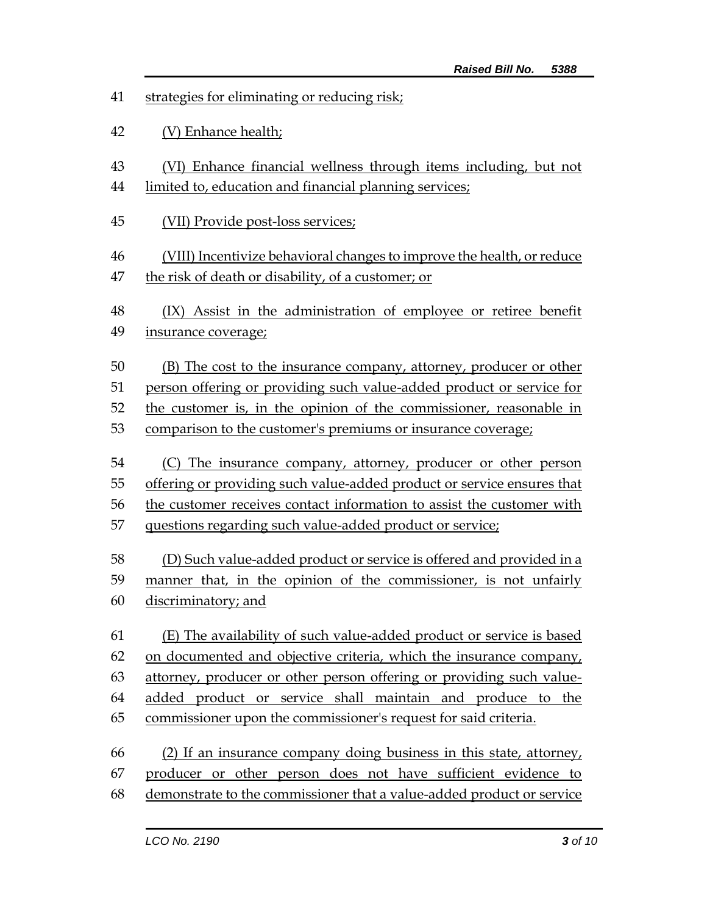- strategies for eliminating or reducing risk;
- (V) Enhance health;
- (VI) Enhance financial wellness through items including, but not
- limited to, education and financial planning services;
- (VII) Provide post-loss services;
- (VIII) Incentivize behavioral changes to improve the health, or reduce
- the risk of death or disability, of a customer; or
- 48 (IX) Assist in the administration of employee or retiree benefit 49 insurance coverage;

 (B) The cost to the insurance company, attorney, producer or other person offering or providing such value-added product or service for

the customer is, in the opinion of the commissioner, reasonable in

- comparison to the customer's premiums or insurance coverage;
- (C) The insurance company, attorney, producer or other person offering or providing such value-added product or service ensures that
- the customer receives contact information to assist the customer with
- questions regarding such value-added product or service;

 (D) Such value-added product or service is offered and provided in a manner that, in the opinion of the commissioner, is not unfairly discriminatory; and

- (E) The availability of such value-added product or service is based on documented and objective criteria, which the insurance company, attorney, producer or other person offering or providing such value- added product or service shall maintain and produce to the commissioner upon the commissioner's request for said criteria.
- (2) If an insurance company doing business in this state, attorney, producer or other person does not have sufficient evidence to demonstrate to the commissioner that a value-added product or service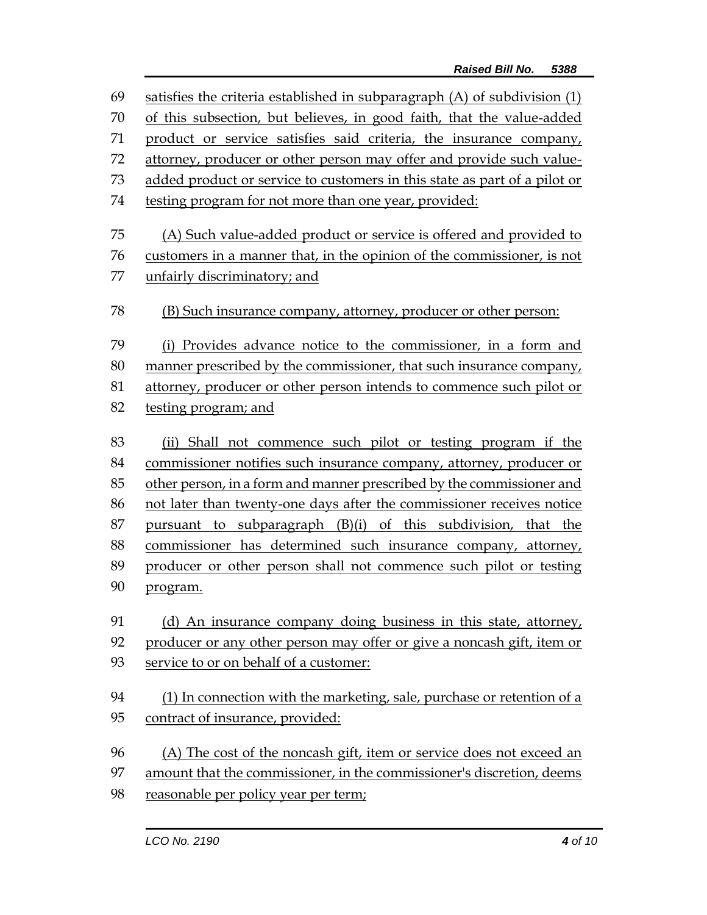| 69 | satisfies the criteria established in subparagraph $(A)$ of subdivision $(1)$ |  |  |
|----|-------------------------------------------------------------------------------|--|--|
| 70 | of this subsection, but believes, in good faith, that the value-added         |  |  |
| 71 | product or service satisfies said criteria, the insurance company,            |  |  |
| 72 | attorney, producer or other person may offer and provide such value-          |  |  |
| 73 | added product or service to customers in this state as part of a pilot or     |  |  |
| 74 | testing program for not more than one year, provided:                         |  |  |
| 75 | (A) Such value-added product or service is offered and provided to            |  |  |
| 76 | customers in a manner that, in the opinion of the commissioner, is not        |  |  |
| 77 | unfairly discriminatory; and                                                  |  |  |
| 78 | (B) Such insurance company, attorney, producer or other person:               |  |  |
| 79 | (i) Provides advance notice to the commissioner, in a form and                |  |  |
| 80 | manner prescribed by the commissioner, that such insurance company,           |  |  |
| 81 | attorney, producer or other person intends to commence such pilot or          |  |  |
| 82 | testing program; and                                                          |  |  |
| 83 | (ii) Shall not commence such pilot or testing program if the                  |  |  |
| 84 | commissioner notifies such insurance company, attorney, producer or           |  |  |
| 85 | other person, in a form and manner prescribed by the commissioner and         |  |  |
| 86 | not later than twenty-one days after the commissioner receives notice         |  |  |
| 87 | pursuant to subparagraph (B)(i) of this subdivision, that the                 |  |  |
| 88 | commissioner has determined such insurance company, attorney,                 |  |  |
| 89 | producer or other person shall not commence such pilot or testing             |  |  |
| 90 | program.                                                                      |  |  |
| 91 | (d) An insurance company doing business in this state, attorney,              |  |  |
| 92 | producer or any other person may offer or give a noncash gift, item or        |  |  |
| 93 | service to or on behalf of a customer:                                        |  |  |
| 94 | (1) In connection with the marketing, sale, purchase or retention of a        |  |  |
| 95 | contract of insurance, provided:                                              |  |  |
| 96 | (A) The cost of the noncash gift, item or service does not exceed an          |  |  |
| 97 | amount that the commissioner, in the commissioner's discretion, deems         |  |  |
| 98 | reasonable per policy year per term;                                          |  |  |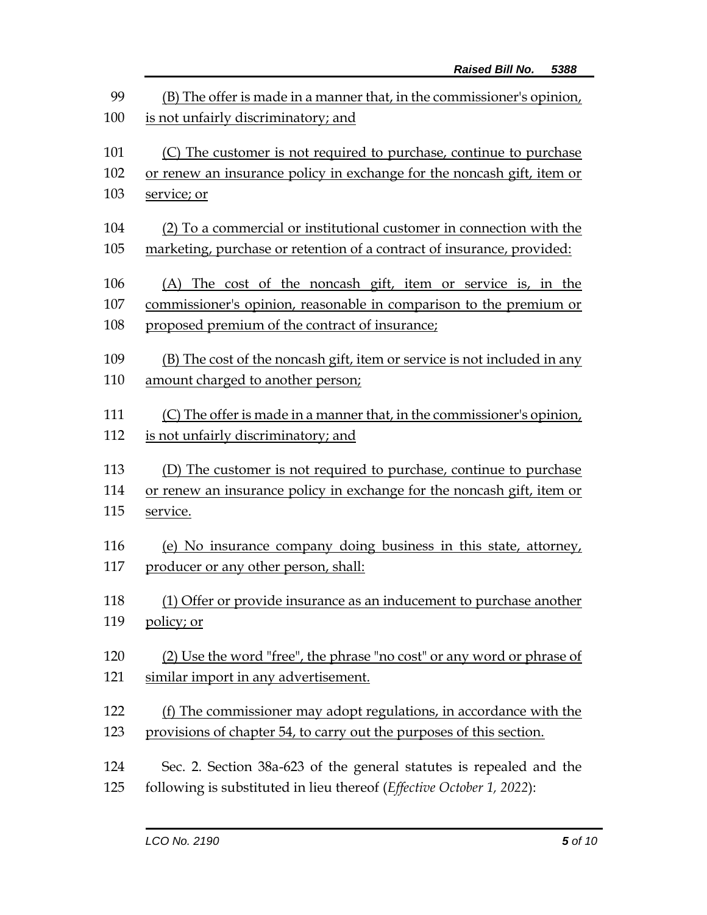| 99<br>(B) The offer is made in a manner that, in the commissioner's opinion,<br>is not unfairly discriminatory; and<br>100 |                                                                    |  |  |
|----------------------------------------------------------------------------------------------------------------------------|--------------------------------------------------------------------|--|--|
| 101                                                                                                                        |                                                                    |  |  |
| 102                                                                                                                        | (C) The customer is not required to purchase, continue to purchase |  |  |
| or renew an insurance policy in exchange for the noncash gift, item or                                                     |                                                                    |  |  |
| 103<br>service; or                                                                                                         |                                                                    |  |  |
| 104<br>(2) To a commercial or institutional customer in connection with the                                                |                                                                    |  |  |
| 105<br>marketing, purchase or retention of a contract of insurance, provided:                                              |                                                                    |  |  |
| 106<br>(A) The cost of the noncash gift, item or service is, in the                                                        |                                                                    |  |  |
| 107<br>commissioner's opinion, reasonable in comparison to the premium or                                                  |                                                                    |  |  |
| proposed premium of the contract of insurance;<br>108                                                                      |                                                                    |  |  |
| 109<br>(B) The cost of the noncash gift, item or service is not included in any                                            |                                                                    |  |  |
| amount charged to another person;<br>110                                                                                   |                                                                    |  |  |
|                                                                                                                            |                                                                    |  |  |
| 111<br>(C) The offer is made in a manner that, in the commissioner's opinion,                                              |                                                                    |  |  |
| is not unfairly discriminatory; and<br>112                                                                                 |                                                                    |  |  |
| 113<br>(D) The customer is not required to purchase, continue to purchase                                                  |                                                                    |  |  |
| or renew an insurance policy in exchange for the noncash gift, item or<br>114                                              |                                                                    |  |  |
| 115<br>service.                                                                                                            |                                                                    |  |  |
| (e) No insurance company doing business in this state, attorney,<br>116                                                    |                                                                    |  |  |
| 117<br>producer or any other person, shall:                                                                                |                                                                    |  |  |
|                                                                                                                            |                                                                    |  |  |
| 118<br>(1) Offer or provide insurance as an inducement to purchase another                                                 |                                                                    |  |  |
| 119<br>policy; or                                                                                                          |                                                                    |  |  |
| 120<br>(2) Use the word "free", the phrase "no cost" or any word or phrase of                                              |                                                                    |  |  |
| 121<br>similar import in any advertisement.                                                                                |                                                                    |  |  |
|                                                                                                                            |                                                                    |  |  |
| 122<br>(f) The commissioner may adopt regulations, in accordance with the                                                  |                                                                    |  |  |
| provisions of chapter 54, to carry out the purposes of this section.<br>123                                                |                                                                    |  |  |
| 124<br>Sec. 2. Section 38a-623 of the general statutes is repealed and the                                                 |                                                                    |  |  |
| following is substituted in lieu thereof (Effective October 1, 2022):<br>125                                               |                                                                    |  |  |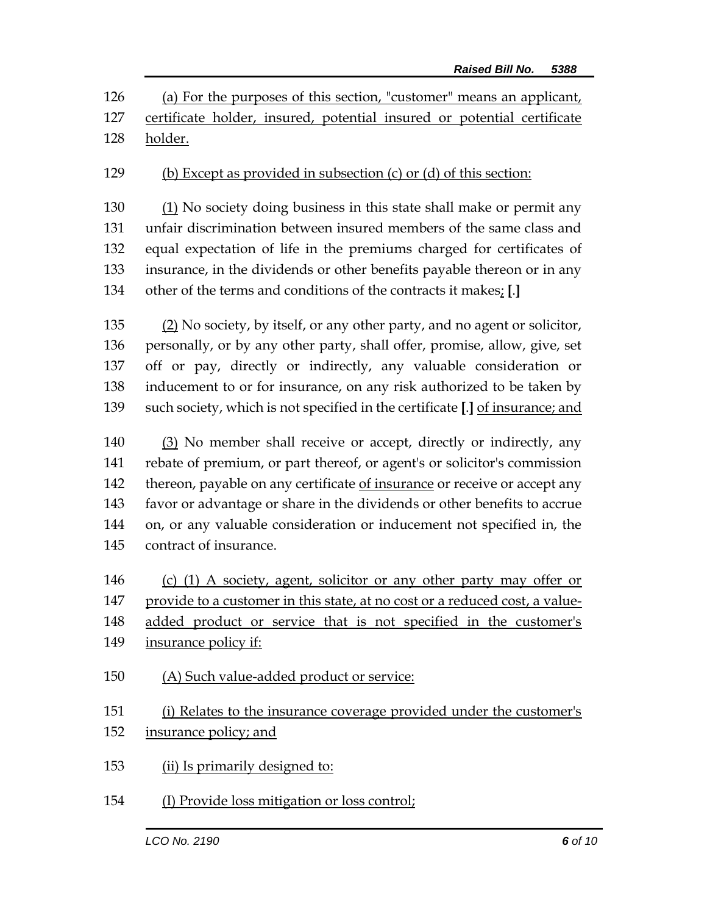(a) For the purposes of this section, "customer" means an applicant, certificate holder, insured, potential insured or potential certificate holder.

(b) Except as provided in subsection (c) or (d) of this section:

 (1) No society doing business in this state shall make or permit any unfair discrimination between insured members of the same class and equal expectation of life in the premiums charged for certificates of insurance, in the dividends or other benefits payable thereon or in any other of the terms and conditions of the contracts it makes; **[**.**]**

 (2) No society, by itself, or any other party, and no agent or solicitor, personally, or by any other party, shall offer, promise, allow, give, set off or pay, directly or indirectly, any valuable consideration or inducement to or for insurance, on any risk authorized to be taken by such society, which is not specified in the certificate **[**.**]** of insurance; and

 (3) No member shall receive or accept, directly or indirectly, any rebate of premium, or part thereof, or agent's or solicitor's commission thereon, payable on any certificate of insurance or receive or accept any favor or advantage or share in the dividends or other benefits to accrue on, or any valuable consideration or inducement not specified in, the contract of insurance.

 (c) (1) A society, agent, solicitor or any other party may offer or provide to a customer in this state, at no cost or a reduced cost, a value-

148 added product or service that is not specified in the customer's

- insurance policy if:
- (A) Such value-added product or service:

151 (i) Relates to the insurance coverage provided under the customer's insurance policy; and

- (ii) Is primarily designed to:
- (I) Provide loss mitigation or loss control;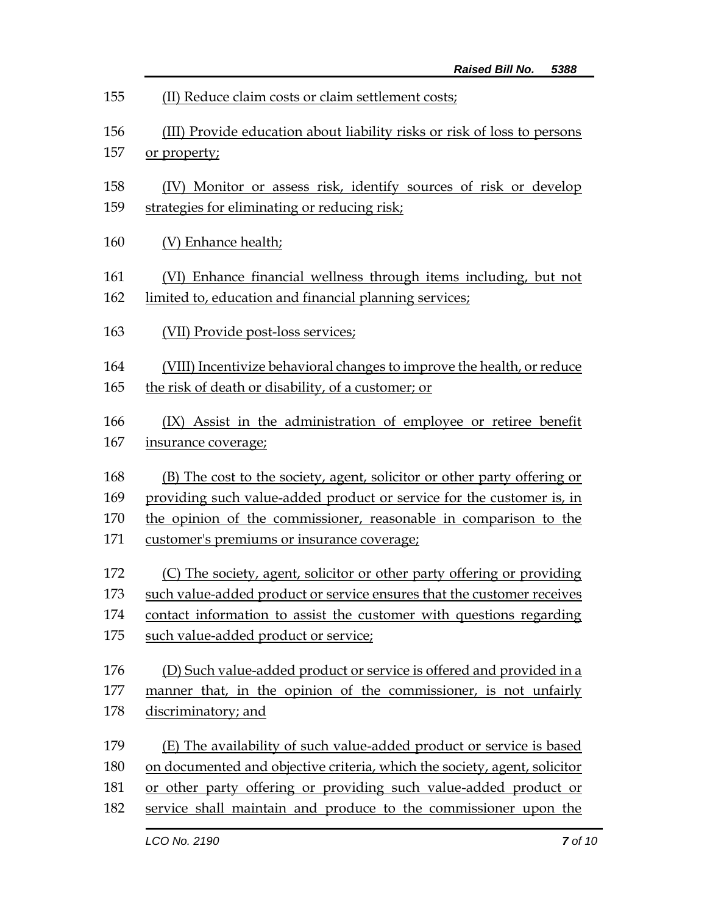| 155        | (II) Reduce claim costs or claim settlement costs;                                                               |  |  |
|------------|------------------------------------------------------------------------------------------------------------------|--|--|
| 156        | (III) Provide education about liability risks or risk of loss to persons                                         |  |  |
| 157        | or property;                                                                                                     |  |  |
|            |                                                                                                                  |  |  |
| 158<br>159 | (IV) Monitor or assess risk, identify sources of risk or develop<br>strategies for eliminating or reducing risk; |  |  |
|            |                                                                                                                  |  |  |
| 160        | (V) Enhance health;                                                                                              |  |  |
| 161        | (VI) Enhance financial wellness through items including, but not                                                 |  |  |
| 162        | limited to, education and financial planning services;                                                           |  |  |
|            |                                                                                                                  |  |  |
| 163        | (VII) Provide post-loss services;                                                                                |  |  |
| 164        | (VIII) Incentivize behavioral changes to improve the health, or reduce                                           |  |  |
| 165        | the risk of death or disability, of a customer; or                                                               |  |  |
| 166        |                                                                                                                  |  |  |
| 167        | (IX) Assist in the administration of employee or retiree benefit<br>insurance coverage;                          |  |  |
|            |                                                                                                                  |  |  |
| 168        | (B) The cost to the society, agent, solicitor or other party offering or                                         |  |  |
| 169        | providing such value-added product or service for the customer is, in                                            |  |  |
| 170        | the opinion of the commissioner, reasonable in comparison to the                                                 |  |  |
| 171        | customer's premiums or insurance coverage;                                                                       |  |  |
| 172        | (C) The society, agent, solicitor or other party offering or providing                                           |  |  |
| 173        | such value-added product or service ensures that the customer receives                                           |  |  |
| 174        | contact information to assist the customer with questions regarding                                              |  |  |
| 175        | such value-added product or service;                                                                             |  |  |
| 176        | (D) Such value-added product or service is offered and provided in a                                             |  |  |
| 177        | manner that, in the opinion of the commissioner, is not unfairly                                                 |  |  |
| 178        | discriminatory; and                                                                                              |  |  |
|            |                                                                                                                  |  |  |
| 179        | (E) The availability of such value-added product or service is based                                             |  |  |
| 180        | on documented and objective criteria, which the society, agent, solicitor                                        |  |  |
| 181        | or other party offering or providing such value-added product or                                                 |  |  |
| 182        | service shall maintain and produce to the commissioner upon the                                                  |  |  |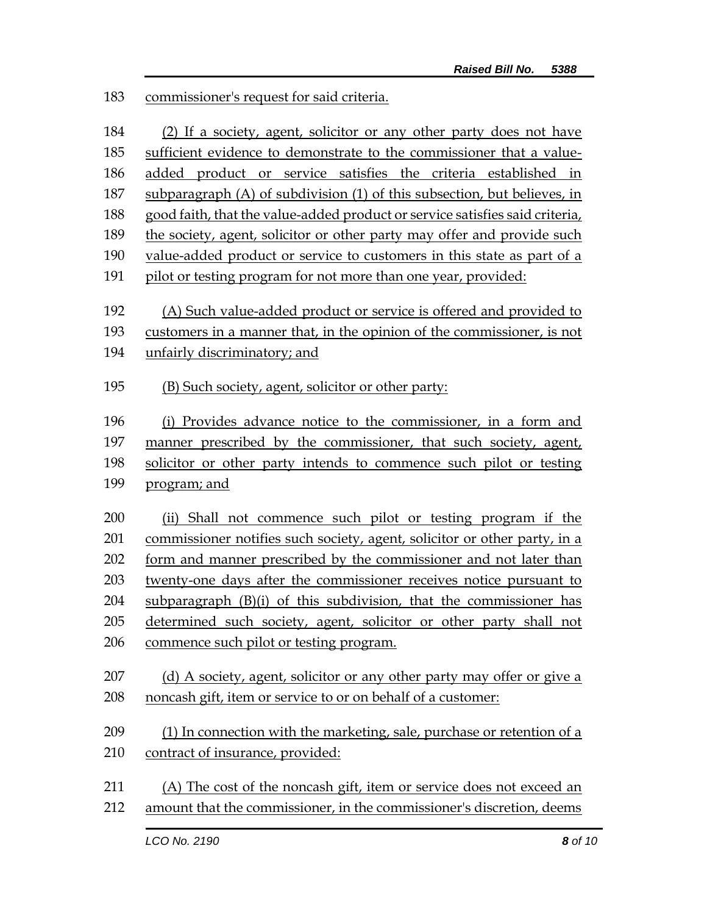183 commissioner's request for said criteria.

|            | LCO No. 2190<br>8 of 10                                                                                                                       |  |  |
|------------|-----------------------------------------------------------------------------------------------------------------------------------------------|--|--|
| 211<br>212 | (A) The cost of the noncash gift, item or service does not exceed an<br>amount that the commissioner, in the commissioner's discretion, deems |  |  |
| 210        | contract of insurance, provided:                                                                                                              |  |  |
| 209        | (1) In connection with the marketing, sale, purchase or retention of a                                                                        |  |  |
| 208        | noncash gift, item or service to or on behalf of a customer:                                                                                  |  |  |
| 207        | (d) A society, agent, solicitor or any other party may offer or give a                                                                        |  |  |
|            | commence such pilot or testing program.                                                                                                       |  |  |
| 205<br>206 | determined such society, agent, solicitor or other party shall not                                                                            |  |  |
| 204        | subparagraph (B)(i) of this subdivision, that the commissioner has                                                                            |  |  |
| 203        | twenty-one days after the commissioner receives notice pursuant to                                                                            |  |  |
| 202        | form and manner prescribed by the commissioner and not later than                                                                             |  |  |
| 201        | commissioner notifies such society, agent, solicitor or other party, in a                                                                     |  |  |
| 200        | (ii) Shall not commence such pilot or testing program if the                                                                                  |  |  |
|            |                                                                                                                                               |  |  |
| 199        | program; and                                                                                                                                  |  |  |
| 198        | solicitor or other party intends to commence such pilot or testing                                                                            |  |  |
| 197        | manner prescribed by the commissioner, that such society, agent,                                                                              |  |  |
| 195<br>196 | (B) Such society, agent, solicitor or other party:<br>(i) Provides advance notice to the commissioner, in a form and                          |  |  |
|            |                                                                                                                                               |  |  |
| 194        | unfairly discriminatory; and                                                                                                                  |  |  |
| 193        | customers in a manner that, in the opinion of the commissioner, is not                                                                        |  |  |
| 192        | (A) Such value-added product or service is offered and provided to                                                                            |  |  |
| 191        | pilot or testing program for not more than one year, provided:                                                                                |  |  |
| 190        | value-added product or service to customers in this state as part of a                                                                        |  |  |
| 189        | the society, agent, solicitor or other party may offer and provide such                                                                       |  |  |
| 188        | good faith, that the value-added product or service satisfies said criteria,                                                                  |  |  |
| 187        | subparagraph (A) of subdivision (1) of this subsection, but believes, in                                                                      |  |  |
| 186        | added product or service satisfies the criteria established in                                                                                |  |  |
| 185        | sufficient evidence to demonstrate to the commissioner that a value-                                                                          |  |  |
| 184        | (2) If a society, agent, solicitor or any other party does not have                                                                           |  |  |
|            |                                                                                                                                               |  |  |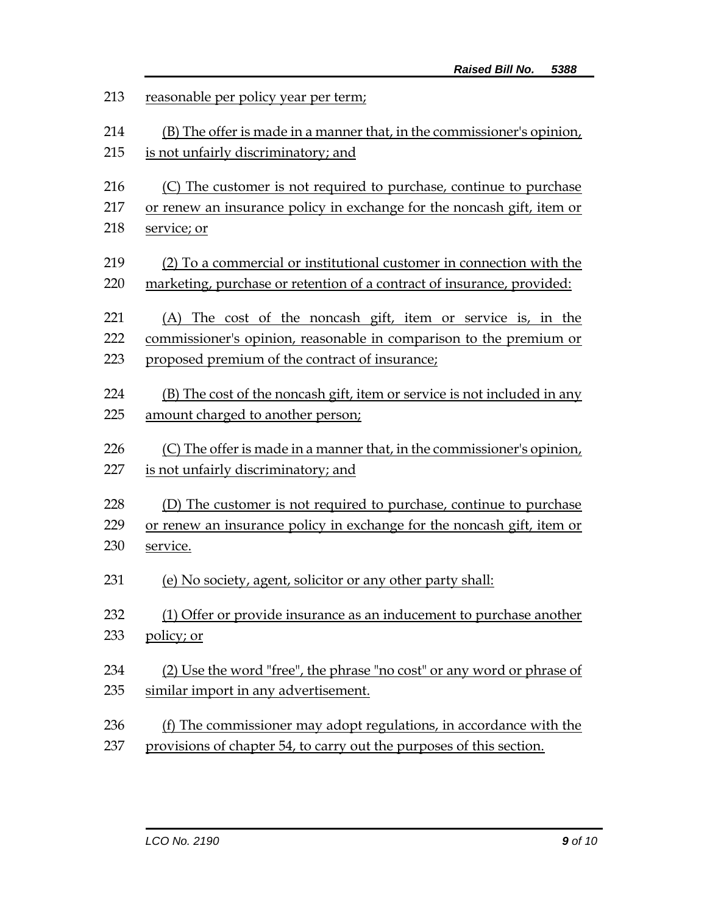| 213 | reasonable per policy year per term;                                     |  |  |
|-----|--------------------------------------------------------------------------|--|--|
| 214 | (B) The offer is made in a manner that, in the commissioner's opinion,   |  |  |
| 215 | is not unfairly discriminatory; and                                      |  |  |
| 216 | (C) The customer is not required to purchase, continue to purchase       |  |  |
| 217 | or renew an insurance policy in exchange for the noncash gift, item or   |  |  |
| 218 | service; or                                                              |  |  |
| 219 | (2) To a commercial or institutional customer in connection with the     |  |  |
| 220 | marketing, purchase or retention of a contract of insurance, provided:   |  |  |
| 221 | (A) The cost of the noncash gift, item or service is, in the             |  |  |
| 222 | commissioner's opinion, reasonable in comparison to the premium or       |  |  |
| 223 | proposed premium of the contract of insurance;                           |  |  |
| 224 | (B) The cost of the noncash gift, item or service is not included in any |  |  |
| 225 | amount charged to another person;                                        |  |  |
| 226 | (C) The offer is made in a manner that, in the commissioner's opinion,   |  |  |
| 227 | is not unfairly discriminatory; and                                      |  |  |
| 228 | (D) The customer is not required to purchase, continue to purchase       |  |  |
| 229 | or renew an insurance policy in exchange for the noncash gift, item or   |  |  |
| 230 | service.                                                                 |  |  |
| 231 | (e) No society, agent, solicitor or any other party shall:               |  |  |
| 232 | (1) Offer or provide insurance as an inducement to purchase another      |  |  |
| 233 | policy; or                                                               |  |  |
| 234 | (2) Use the word "free", the phrase "no cost" or any word or phrase of   |  |  |
| 235 | similar import in any advertisement.                                     |  |  |
| 236 | (f) The commissioner may adopt regulations, in accordance with the       |  |  |
| 237 | provisions of chapter 54, to carry out the purposes of this section.     |  |  |